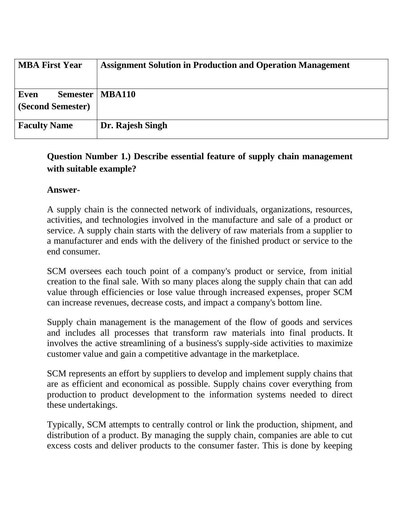| <b>MBA First Year</b>     | <b>Assignment Solution in Production and Operation Management</b> |
|---------------------------|-------------------------------------------------------------------|
| Even<br>(Second Semester) | Semester   MBA110                                                 |
| <b>Faculty Name</b>       | Dr. Rajesh Singh                                                  |

## **Question Number 1.) Describe essential feature of supply chain management with suitable example?**

#### **Answer-**

A supply chain is the connected network of individuals, organizations, resources, activities, and technologies involved in the manufacture and sale of a product or service. A supply chain starts with the delivery of raw materials from a supplier to a manufacturer and ends with the delivery of the finished product or service to the end consumer.

SCM oversees each touch point of a company's product or service, from initial creation to the final sale. With so many places along the supply chain that can add value through efficiencies or lose value through increased expenses, proper SCM can increase revenues, decrease costs, and impact a company's bottom line.

Supply chain management is the management of the flow of goods and services and includes all processes that transform raw materials into final products. It involves the active streamlining of a business's supply-side activities to maximize customer value and gain a competitive advantage in the marketplace.

SCM represents an effort by suppliers to develop and implement supply chains that are as efficient and economical as possible. Supply chains cover everything from production to product development to the information systems needed to direct these undertakings.

Typically, SCM attempts to centrally control or link the production, shipment, and distribution of a product. By managing the supply chain, companies are able to cut excess costs and deliver products to the consumer faster. This is done by keeping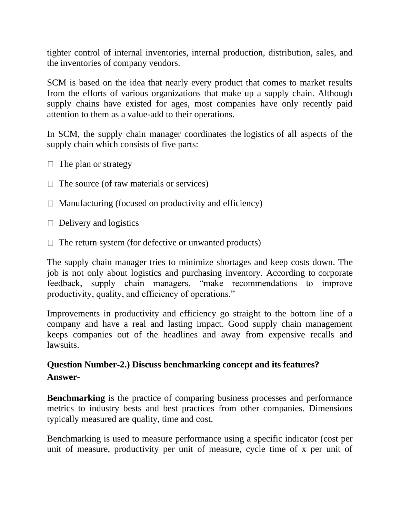tighter control of internal inventories, internal production, distribution, sales, and the inventories of company vendors.

SCM is based on the idea that nearly every product that comes to market results from the efforts of various organizations that make up a supply chain. Although supply chains have existed for ages, most companies have only recently paid attention to them as a value-add to their operations.

In SCM, the supply chain manager coordinates the logistics of all aspects of the supply chain which consists of five parts:

- $\Box$  The plan or strategy
- $\Box$  The source (of raw materials or services)
- $\Box$  Manufacturing (focused on productivity and efficiency)
- $\Box$  Delivery and logistics
- $\Box$  The return system (for defective or unwanted products)

The supply chain manager tries to minimize shortages and keep costs down. The job is not only about logistics and purchasing inventory. According to corporate feedback, supply chain managers, "make recommendations to improve productivity, quality, and efficiency of operations."

Improvements in productivity and efficiency go straight to the bottom line of a company and have a real and lasting impact. Good supply chain management keeps companies out of the headlines and away from expensive recalls and lawsuits.

## **Question Number-2.) Discuss benchmarking concept and its features? Answer-**

**Benchmarking** is the practice of comparing business processes and performance metrics to industry bests and best practices from other companies. Dimensions typically measured are quality, time and cost.

Benchmarking is used to measure performance using a specific indicator (cost per unit of measure, productivity per unit of measure, cycle time of x per unit of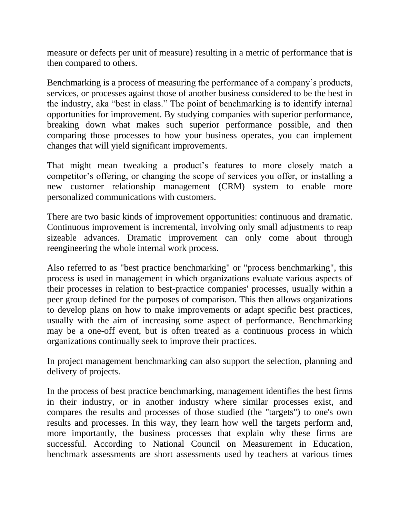measure or defects per unit of measure) resulting in a metric of performance that is then compared to others.

Benchmarking is a process of measuring the performance of a company's products, services, or processes against those of another business considered to be the best in the industry, aka "best in class." The point of benchmarking is to identify internal opportunities for improvement. By studying companies with superior performance, breaking down what makes such superior performance possible, and then comparing those processes to how your business operates, you can implement changes that will yield significant improvements.

That might mean tweaking a product's features to more closely match a competitor's offering, or changing the scope of services you offer, or installing a new customer relationship management (CRM) system to enable more personalized communications with customers.

There are two basic kinds of improvement opportunities: continuous and dramatic. Continuous improvement is incremental, involving only small adjustments to reap sizeable advances. Dramatic improvement can only come about through reengineering the whole internal work process.

Also referred to as "best practice benchmarking" or "process benchmarking", this process is used in management in which organizations evaluate various aspects of their processes in relation to best-practice companies' processes, usually within a peer group defined for the purposes of comparison. This then allows organizations to develop plans on how to make improvements or adapt specific best practices, usually with the aim of increasing some aspect of performance. Benchmarking may be a one-off event, but is often treated as a continuous process in which organizations continually seek to improve their practices.

In project management benchmarking can also support the selection, planning and delivery of projects.

In the process of best practice benchmarking, management identifies the best firms in their industry, or in another industry where similar processes exist, and compares the results and processes of those studied (the "targets") to one's own results and processes. In this way, they learn how well the targets perform and, more importantly, the business processes that explain why these firms are successful. According to National Council on Measurement in Education, benchmark assessments are short assessments used by teachers at various times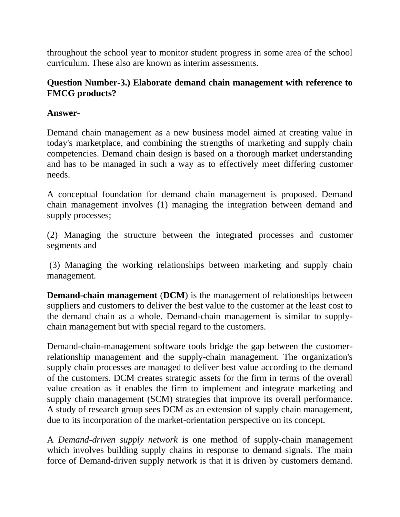throughout the school year to monitor student progress in some area of the school curriculum. These also are known as interim assessments.

#### **Question Number-3.) Elaborate demand chain management with reference to FMCG products?**

#### **Answer-**

Demand chain management as a new business model aimed at creating value in today's marketplace, and combining the strengths of marketing and supply chain competencies. Demand chain design is based on a thorough market understanding and has to be managed in such a way as to effectively meet differing customer needs.

A conceptual foundation for demand chain management is proposed. Demand chain management involves (1) managing the integration between demand and supply processes;

(2) Managing the structure between the integrated processes and customer segments and

(3) Managing the working relationships between marketing and supply chain management.

**Demand-chain management** (**DCM**) is the management of relationships between suppliers and customers to deliver the best value to the customer at the least cost to the demand chain as a whole. Demand-chain management is similar to supplychain management but with special regard to the customers.

Demand-chain-management software tools bridge the gap between the customerrelationship management and the supply-chain management. The organization's supply chain processes are managed to deliver best value according to the demand of the customers. DCM creates strategic assets for the firm in terms of the overall value creation as it enables the firm to implement and integrate marketing and supply chain management (SCM) strategies that improve its overall performance. A study of research group sees DCM as an extension of supply chain management, due to its incorporation of the market-orientation perspective on its concept.

A *Demand-driven supply network* is one method of supply-chain management which involves building supply chains in response to demand signals. The main force of Demand-driven supply network is that it is driven by customers demand.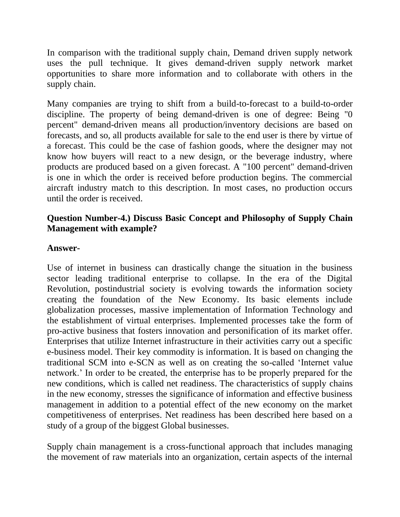In comparison with the traditional supply chain, Demand driven supply network uses the pull technique. It gives demand-driven supply network market opportunities to share more information and to collaborate with others in the supply chain.

Many companies are trying to shift from a build-to-forecast to a build-to-order discipline. The property of being demand-driven is one of degree: Being "0 percent" demand-driven means all production/inventory decisions are based on forecasts, and so, all products available for sale to the end user is there by virtue of a forecast. This could be the case of fashion goods, where the designer may not know how buyers will react to a new design, or the beverage industry, where products are produced based on a given forecast. A "100 percent" demand-driven is one in which the order is received before production begins. The commercial aircraft industry match to this description. In most cases, no production occurs until the order is received.

#### **Question Number-4.) Discuss Basic Concept and Philosophy of Supply Chain Management with example?**

#### **Answer-**

Use of internet in business can drastically change the situation in the business sector leading traditional enterprise to collapse. In the era of the Digital Revolution, postindustrial society is evolving towards the information society creating the foundation of the New Economy. Its basic elements include globalization processes, massive implementation of Information Technology and the establishment of virtual enterprises. Implemented processes take the form of pro-active business that fosters innovation and personification of its market offer. Enterprises that utilize Internet infrastructure in their activities carry out a specific e-business model. Their key commodity is information. It is based on changing the traditional SCM into e-SCN as well as on creating the so-called 'Internet value network.' In order to be created, the enterprise has to be properly prepared for the new conditions, which is called net readiness. The characteristics of supply chains in the new economy, stresses the significance of information and effective business management in addition to a potential effect of the new economy on the market competitiveness of enterprises. Net readiness has been described here based on a study of a group of the biggest Global businesses.

Supply chain management is a cross-functional approach that includes managing the movement of raw materials into an organization, certain aspects of the internal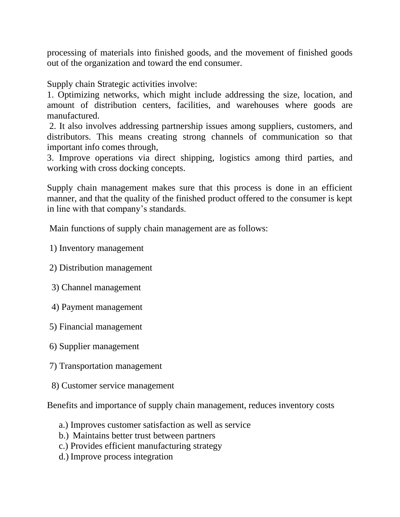processing of materials into finished goods, and the movement of finished goods out of the organization and toward the end consumer.

Supply chain Strategic activities involve:

1. Optimizing networks, which might include addressing the size, location, and amount of distribution centers, facilities, and warehouses where goods are manufactured.

2. It also involves addressing partnership issues among suppliers, customers, and distributors. This means creating strong channels of communication so that important info comes through,

3. Improve operations via direct shipping, logistics among third parties, and working with cross docking concepts.

Supply chain management makes sure that this process is done in an efficient manner, and that the quality of the finished product offered to the consumer is kept in line with that company's standards.

Main functions of supply chain management are as follows:

1) Inventory management

- 2) Distribution management
- 3) Channel management
- 4) Payment management
- 5) Financial management
- 6) Supplier management
- 7) Transportation management
- 8) Customer service management

Benefits and importance of supply chain management, reduces inventory costs

- a.) Improves customer satisfaction as well as service
- b.) Maintains better trust between partners
- c.) Provides efficient manufacturing strategy
- d.) Improve process integration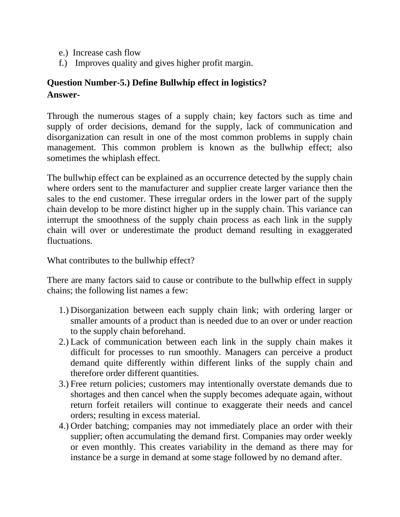- e.) Increase cash flow
- f.) Improves quality and gives higher profit margin.

# **Question Number-5.) Define Bullwhip effect in logistics? Answer-**

Through the numerous stages of a supply chain; key factors such as time and supply of order decisions, demand for the supply, lack of communication and disorganization can result in one of the most common problems in supply chain management. This common problem is known as the bullwhip effect; also sometimes the whiplash effect.

The bullwhip effect can be explained as an occurrence detected by the supply chain where orders sent to the manufacturer and supplier create larger variance then the sales to the end customer. These irregular orders in the lower part of the supply chain develop to be more distinct higher up in the supply chain. This variance can interrupt the smoothness of the supply chain process as each link in the supply chain will over or underestimate the product demand resulting in exaggerated fluctuations.

What contributes to the bullwhip effect?

There are many factors said to cause or contribute to the bullwhip effect in supply chains; the following list names a few:

- 1.) Disorganization between each supply chain link; with ordering larger or smaller amounts of a product than is needed due to an over or under reaction to the supply chain beforehand.
- 2.) Lack of communication between each link in the supply chain makes it difficult for processes to run smoothly. Managers can perceive a product demand quite differently within different links of the supply chain and therefore order different quantities.
- 3.) Free return policies; customers may intentionally overstate demands due to shortages and then cancel when the supply becomes adequate again, without return forfeit retailers will continue to exaggerate their needs and cancel orders; resulting in excess material.
- 4.) Order batching; companies may not immediately place an order with their supplier; often accumulating the demand first. Companies may order weekly or even monthly. This creates variability in the demand as there may for instance be a surge in demand at some stage followed by no demand after.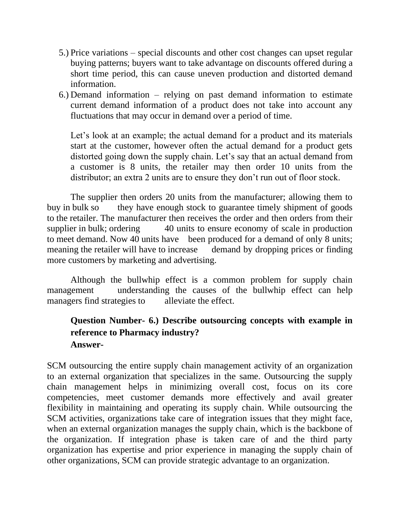- 5.) Price variations special discounts and other cost changes can upset regular buying patterns; buyers want to take advantage on discounts offered during a short time period, this can cause uneven production and distorted demand information.
- 6.) Demand information relying on past demand information to estimate current demand information of a product does not take into account any fluctuations that may occur in demand over a period of time.

Let's look at an example; the actual demand for a product and its materials start at the customer, however often the actual demand for a product gets distorted going down the supply chain. Let's say that an actual demand from a customer is 8 units, the retailer may then order 10 units from the distributor; an extra 2 units are to ensure they don't run out of floor stock.

The supplier then orders 20 units from the manufacturer; allowing them to buy in bulk so they have enough stock to guarantee timely shipment of goods to the retailer. The manufacturer then receives the order and then orders from their supplier in bulk; ordering 40 units to ensure economy of scale in production to meet demand. Now 40 units have been produced for a demand of only 8 units; meaning the retailer will have to increase demand by dropping prices or finding more customers by marketing and advertising.

Although the bullwhip effect is a common problem for supply chain management understanding the causes of the bullwhip effect can help managers find strategies to alleviate the effect.

## **Question Number- 6.) Describe outsourcing concepts with example in reference to Pharmacy industry? Answer-**

SCM outsourcing the entire supply chain management activity of an organization to an external organization that specializes in the same. Outsourcing the supply chain management helps in minimizing overall cost, focus on its core competencies, meet customer demands more effectively and avail greater flexibility in maintaining and operating its supply chain. While outsourcing the SCM activities, organizations take care of integration issues that they might face, when an external organization manages the supply chain, which is the backbone of the organization. If integration phase is taken care of and the third party organization has expertise and prior experience in managing the supply chain of other organizations, SCM can provide strategic advantage to an organization.